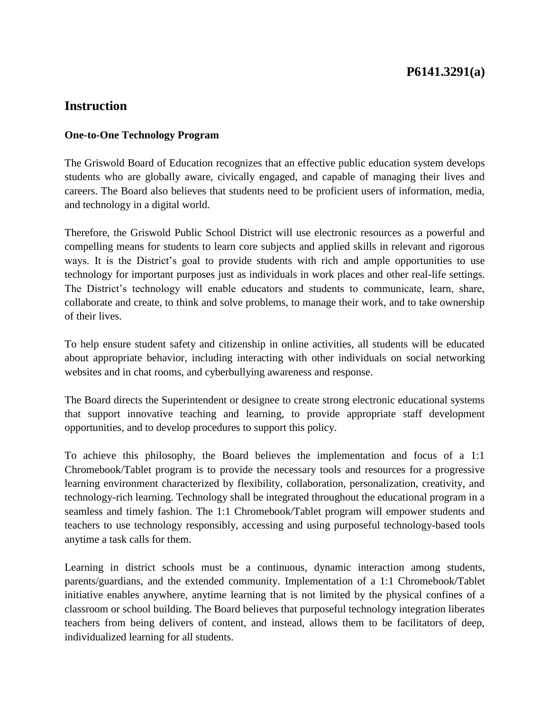## **P6141.3291(a)**

### **Instruction**

#### **One-to-One Technology Program**

The Griswold Board of Education recognizes that an effective public education system develops students who are globally aware, civically engaged, and capable of managing their lives and careers. The Board also believes that students need to be proficient users of information, media, and technology in a digital world.

Therefore, the Griswold Public School District will use electronic resources as a powerful and compelling means for students to learn core subjects and applied skills in relevant and rigorous ways. It is the District's goal to provide students with rich and ample opportunities to use technology for important purposes just as individuals in work places and other real-life settings. The District's technology will enable educators and students to communicate, learn, share, collaborate and create, to think and solve problems, to manage their work, and to take ownership of their lives.

To help ensure student safety and citizenship in online activities, all students will be educated about appropriate behavior, including interacting with other individuals on social networking websites and in chat rooms, and cyberbullying awareness and response.

The Board directs the Superintendent or designee to create strong electronic educational systems that support innovative teaching and learning, to provide appropriate staff development opportunities, and to develop procedures to support this policy.

To achieve this philosophy, the Board believes the implementation and focus of a 1:1 Chromebook/Tablet program is to provide the necessary tools and resources for a progressive learning environment characterized by flexibility, collaboration, personalization, creativity, and technology-rich learning. Technology shall be integrated throughout the educational program in a seamless and timely fashion. The 1:1 Chromebook/Tablet program will empower students and teachers to use technology responsibly, accessing and using purposeful technology-based tools anytime a task calls for them.

Learning in district schools must be a continuous, dynamic interaction among students, parents/guardians, and the extended community. Implementation of a 1:1 Chromebook/Tablet initiative enables anywhere, anytime learning that is not limited by the physical confines of a classroom or school building. The Board believes that purposeful technology integration liberates teachers from being delivers of content, and instead, allows them to be facilitators of deep, individualized learning for all students.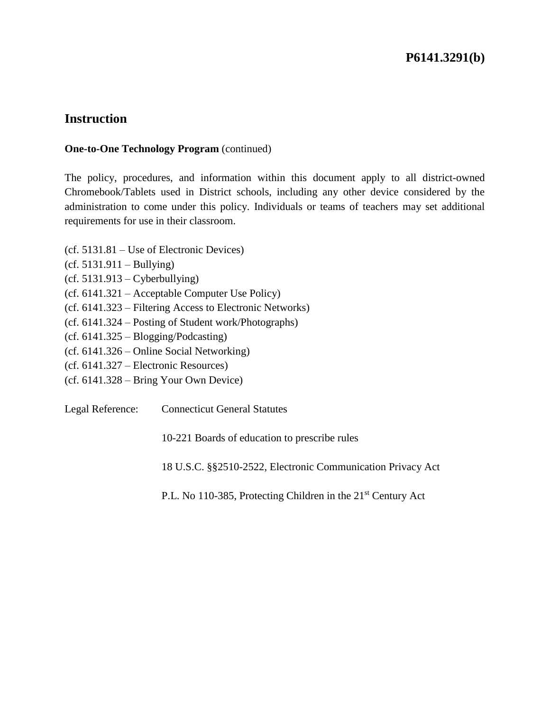## **P6141.3291(b)**

### **Instruction**

#### **One-to-One Technology Program** (continued)

The policy, procedures, and information within this document apply to all district-owned Chromebook/Tablets used in District schools, including any other device considered by the administration to come under this policy. Individuals or teams of teachers may set additional requirements for use in their classroom.

- (cf. 5131.81 Use of Electronic Devices)
- $(cf. 5131.911 Bullying)$
- $(cf. 5131.913 Cyberbullying)$
- (cf. 6141.321 Acceptable Computer Use Policy)
- (cf. 6141.323 Filtering Access to Electronic Networks)
- (cf. 6141.324 Posting of Student work/Photographs)
- (cf. 6141.325 Blogging/Podcasting)
- (cf. 6141.326 Online Social Networking)
- (cf. 6141.327 Electronic Resources)
- (cf. 6141.328 Bring Your Own Device)

Legal Reference: Connecticut General Statutes

10-221 Boards of education to prescribe rules

18 U.S.C. §§2510-2522, Electronic Communication Privacy Act

P.L. No 110-385, Protecting Children in the 21<sup>st</sup> Century Act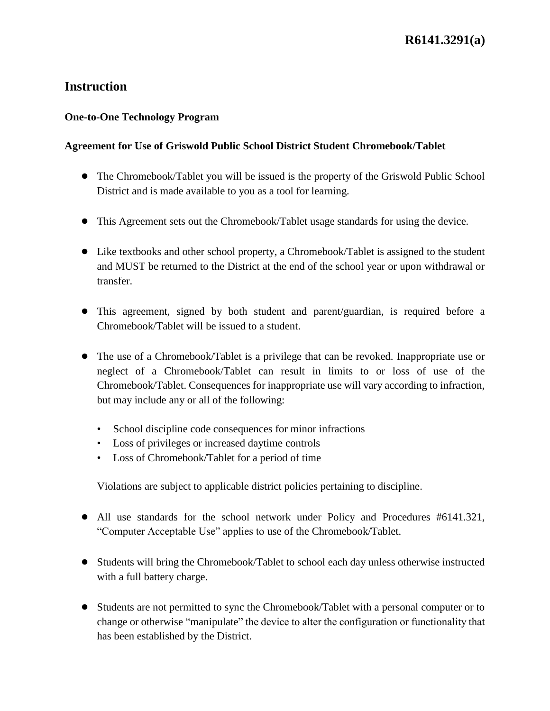### **One-to-One Technology Program**

### **Agreement for Use of Griswold Public School District Student Chromebook/Tablet**

- The Chromebook/Tablet you will be issued is the property of the Griswold Public School District and is made available to you as a tool for learning.
- This Agreement sets out the Chromebook/Tablet usage standards for using the device.
- Like textbooks and other school property, a Chromebook/Tablet is assigned to the student and MUST be returned to the District at the end of the school year or upon withdrawal or transfer.
- This agreement, signed by both student and parent/guardian, is required before a Chromebook/Tablet will be issued to a student.
- The use of a Chromebook/Tablet is a privilege that can be revoked. Inappropriate use or neglect of a Chromebook/Tablet can result in limits to or loss of use of the Chromebook/Tablet. Consequences for inappropriate use will vary according to infraction, but may include any or all of the following:
	- School discipline code consequences for minor infractions
	- Loss of privileges or increased daytime controls
	- Loss of Chromebook/Tablet for a period of time

Violations are subject to applicable district policies pertaining to discipline.

- All use standards for the school network under Policy and Procedures #6141.321, "Computer Acceptable Use" applies to use of the Chromebook/Tablet.
- Students will bring the Chromebook/Tablet to school each day unless otherwise instructed with a full battery charge.
- Students are not permitted to sync the Chromebook/Tablet with a personal computer or to change or otherwise "manipulate" the device to alter the configuration or functionality that has been established by the District.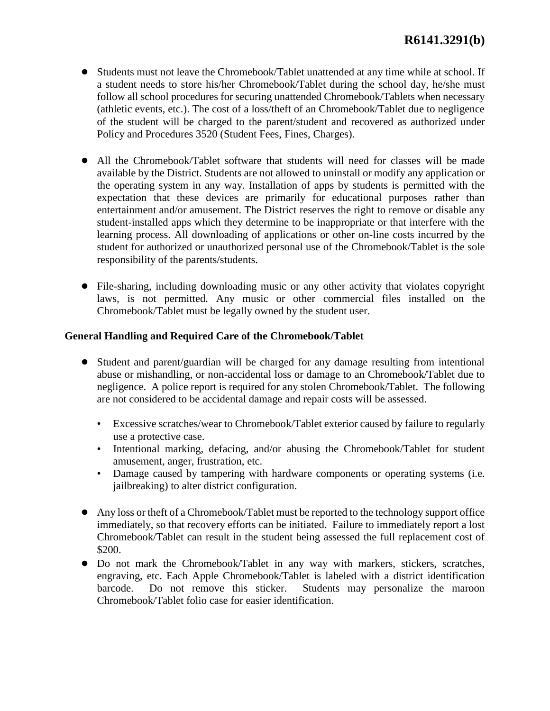- Students must not leave the Chromebook/Tablet unattended at any time while at school. If a student needs to store his/her Chromebook/Tablet during the school day, he/she must follow all school procedures for securing unattended Chromebook/Tablets when necessary (athletic events, etc.). The cost of a loss/theft of an Chromebook/Tablet due to negligence of the student will be charged to the parent/student and recovered as authorized under Policy and Procedures 3520 (Student Fees, Fines, Charges).
- All the Chromebook/Tablet software that students will need for classes will be made available by the District. Students are not allowed to uninstall or modify any application or the operating system in any way. Installation of apps by students is permitted with the expectation that these devices are primarily for educational purposes rather than entertainment and/or amusement. The District reserves the right to remove or disable any student-installed apps which they determine to be inappropriate or that interfere with the learning process. All downloading of applications or other on-line costs incurred by the student for authorized or unauthorized personal use of the Chromebook/Tablet is the sole responsibility of the parents/students.
- File-sharing, including downloading music or any other activity that violates copyright laws, is not permitted. Any music or other commercial files installed on the Chromebook/Tablet must be legally owned by the student user.

#### **General Handling and Required Care of the Chromebook/Tablet**

- Student and parent/guardian will be charged for any damage resulting from intentional abuse or mishandling, or non-accidental loss or damage to an Chromebook/Tablet due to negligence. A police report is required for any stolen Chromebook/Tablet. The following are not considered to be accidental damage and repair costs will be assessed.
	- Excessive scratches/wear to Chromebook/Tablet exterior caused by failure to regularly use a protective case.
	- Intentional marking, defacing, and/or abusing the Chromebook/Tablet for student amusement, anger, frustration, etc.
	- Damage caused by tampering with hardware components or operating systems (i.e. jailbreaking) to alter district configuration.
- Any loss or theft of a Chromebook/Tablet must be reported to the technology support office immediately, so that recovery efforts can be initiated. Failure to immediately report a lost Chromebook/Tablet can result in the student being assessed the full replacement cost of \$200.
- Do not mark the Chromebook/Tablet in any way with markers, stickers, scratches, engraving, etc. Each Apple Chromebook/Tablet is labeled with a district identification barcode. Do not remove this sticker. Students may personalize the maroon Chromebook/Tablet folio case for easier identification.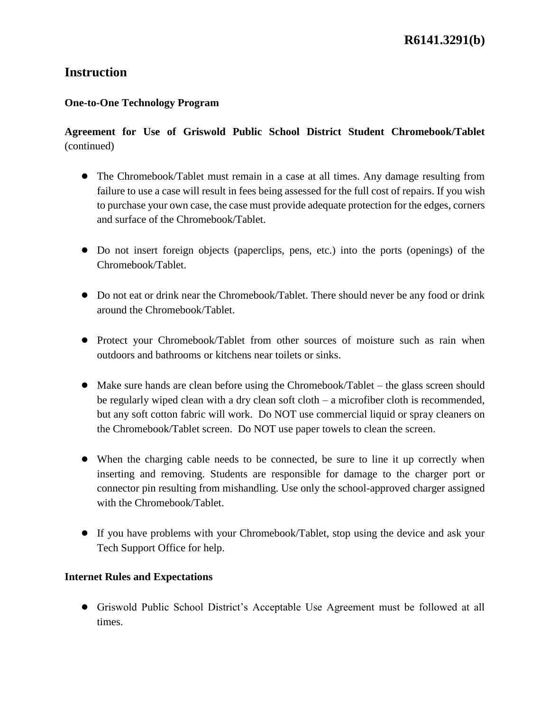### **One-to-One Technology Program**

### **Agreement for Use of Griswold Public School District Student Chromebook/Tablet**  (continued)

- The Chromebook/Tablet must remain in a case at all times. Any damage resulting from failure to use a case will result in fees being assessed for the full cost of repairs. If you wish to purchase your own case, the case must provide adequate protection for the edges, corners and surface of the Chromebook/Tablet.
- Do not insert foreign objects (paperclips, pens, etc.) into the ports (openings) of the Chromebook/Tablet.
- Do not eat or drink near the Chromebook/Tablet. There should never be any food or drink around the Chromebook/Tablet.
- Protect your Chromebook/Tablet from other sources of moisture such as rain when outdoors and bathrooms or kitchens near toilets or sinks.
- Make sure hands are clean before using the Chromebook/Tablet the glass screen should be regularly wiped clean with a dry clean soft cloth – a microfiber cloth is recommended, but any soft cotton fabric will work. Do NOT use commercial liquid or spray cleaners on the Chromebook/Tablet screen. Do NOT use paper towels to clean the screen.
- When the charging cable needs to be connected, be sure to line it up correctly when inserting and removing. Students are responsible for damage to the charger port or connector pin resulting from mishandling. Use only the school-approved charger assigned with the Chromebook/Tablet.
- If you have problems with your Chromebook/Tablet, stop using the device and ask your Tech Support Office for help.

### **Internet Rules and Expectations**

● Griswold Public School District's Acceptable Use Agreement must be followed at all times.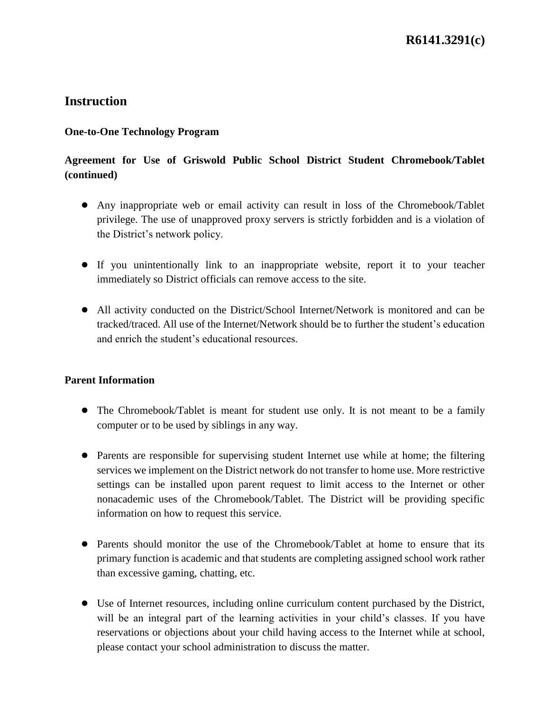### **One-to-One Technology Program**

## **Agreement for Use of Griswold Public School District Student Chromebook/Tablet (continued)**

- Any inappropriate web or email activity can result in loss of the Chromebook/Tablet privilege. The use of unapproved proxy servers is strictly forbidden and is a violation of the District's network policy.
- If you unintentionally link to an inappropriate website, report it to your teacher immediately so District officials can remove access to the site.
- All activity conducted on the District/School Internet/Network is monitored and can be tracked/traced. All use of the Internet/Network should be to further the student's education and enrich the student's educational resources.

### **Parent Information**

- The Chromebook/Tablet is meant for student use only. It is not meant to be a family computer or to be used by siblings in any way.
- Parents are responsible for supervising student Internet use while at home; the filtering services we implement on the District network do not transfer to home use. More restrictive settings can be installed upon parent request to limit access to the Internet or other nonacademic uses of the Chromebook/Tablet. The District will be providing specific information on how to request this service.
- Parents should monitor the use of the Chromebook/Tablet at home to ensure that its primary function is academic and that students are completing assigned school work rather than excessive gaming, chatting, etc.
- Use of Internet resources, including online curriculum content purchased by the District, will be an integral part of the learning activities in your child's classes. If you have reservations or objections about your child having access to the Internet while at school, please contact your school administration to discuss the matter.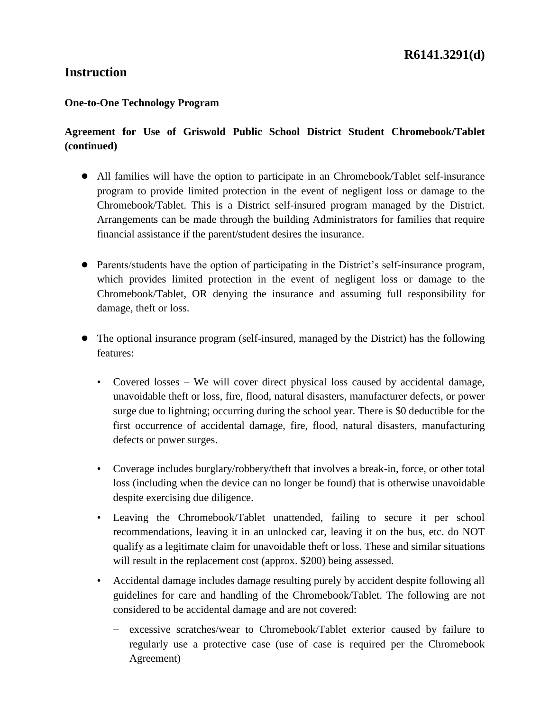#### **One-to-One Technology Program**

### **Agreement for Use of Griswold Public School District Student Chromebook/Tablet (continued)**

- All families will have the option to participate in an Chromebook/Tablet self-insurance program to provide limited protection in the event of negligent loss or damage to the Chromebook/Tablet. This is a District self-insured program managed by the District. Arrangements can be made through the building Administrators for families that require financial assistance if the parent/student desires the insurance.
- Parents/students have the option of participating in the District's self-insurance program, which provides limited protection in the event of negligent loss or damage to the Chromebook/Tablet, OR denying the insurance and assuming full responsibility for damage, theft or loss.
- The optional insurance program (self-insured, managed by the District) has the following features:
	- Covered losses We will cover direct physical loss caused by accidental damage, unavoidable theft or loss, fire, flood, natural disasters, manufacturer defects, or power surge due to lightning; occurring during the school year. There is \$0 deductible for the first occurrence of accidental damage, fire, flood, natural disasters, manufacturing defects or power surges.
	- Coverage includes burglary/robbery/theft that involves a break-in, force, or other total loss (including when the device can no longer be found) that is otherwise unavoidable despite exercising due diligence.
	- Leaving the Chromebook/Tablet unattended, failing to secure it per school recommendations, leaving it in an unlocked car, leaving it on the bus, etc. do NOT qualify as a legitimate claim for unavoidable theft or loss. These and similar situations will result in the replacement cost (approx. \$200) being assessed.
	- Accidental damage includes damage resulting purely by accident despite following all guidelines for care and handling of the Chromebook/Tablet. The following are not considered to be accidental damage and are not covered:
		- − excessive scratches/wear to Chromebook/Tablet exterior caused by failure to regularly use a protective case (use of case is required per the Chromebook Agreement)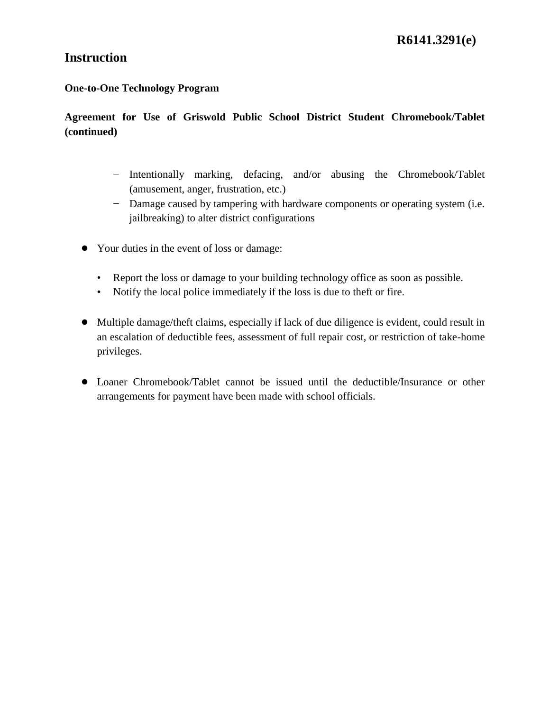#### **One-to-One Technology Program**

## **Agreement for Use of Griswold Public School District Student Chromebook/Tablet (continued)**

- − Intentionally marking, defacing, and/or abusing the Chromebook/Tablet (amusement, anger, frustration, etc.)
- − Damage caused by tampering with hardware components or operating system (i.e. jailbreaking) to alter district configurations
- Your duties in the event of loss or damage:
	- Report the loss or damage to your building technology office as soon as possible.
	- Notify the local police immediately if the loss is due to theft or fire.
- Multiple damage/theft claims, especially if lack of due diligence is evident, could result in an escalation of deductible fees, assessment of full repair cost, or restriction of take-home privileges.
- Loaner Chromebook/Tablet cannot be issued until the deductible/Insurance or other arrangements for payment have been made with school officials.